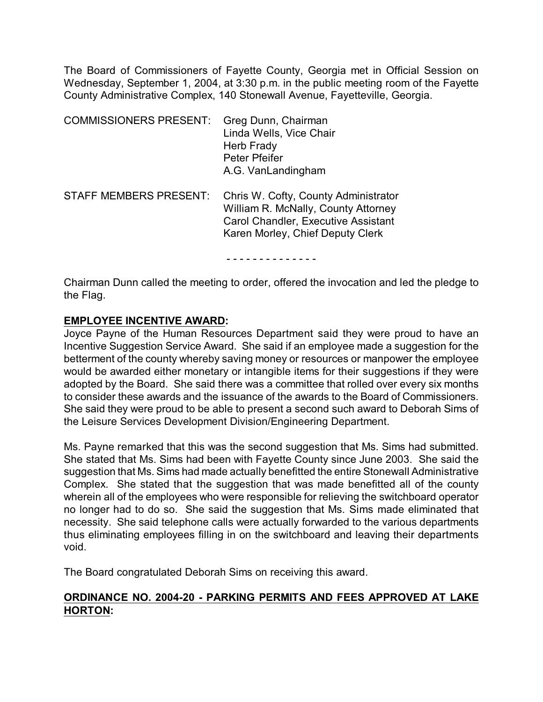The Board of Commissioners of Fayette County, Georgia met in Official Session on Wednesday, September 1, 2004, at 3:30 p.m. in the public meeting room of the Fayette County Administrative Complex, 140 Stonewall Avenue, Fayetteville, Georgia.

| <b>COMMISSIONERS PRESENT:</b> | Greg Dunn, Chairman<br>Linda Wells, Vice Chair<br>Herb Frady<br>Peter Pfeifer<br>A.G. VanLandingham                                                           |
|-------------------------------|---------------------------------------------------------------------------------------------------------------------------------------------------------------|
| <b>STAFF MEMBERS PRESENT:</b> | Chris W. Cofty, County Administrator<br>William R. McNally, County Attorney<br><b>Carol Chandler, Executive Assistant</b><br>Karen Morley, Chief Deputy Clerk |

- - - - - - - - - - - - - -

Chairman Dunn called the meeting to order, offered the invocation and led the pledge to the Flag.

### **EMPLOYEE INCENTIVE AWARD:**

Joyce Payne of the Human Resources Department said they were proud to have an Incentive Suggestion Service Award. She said if an employee made a suggestion for the betterment of the county whereby saving money or resources or manpower the employee would be awarded either monetary or intangible items for their suggestions if they were adopted by the Board. She said there was a committee that rolled over every six months to consider these awards and the issuance of the awards to the Board of Commissioners. She said they were proud to be able to present a second such award to Deborah Sims of the Leisure Services Development Division/Engineering Department.

Ms. Payne remarked that this was the second suggestion that Ms. Sims had submitted. She stated that Ms. Sims had been with Fayette County since June 2003. She said the suggestion that Ms. Sims had made actually benefitted the entire Stonewall Administrative Complex. She stated that the suggestion that was made benefitted all of the county wherein all of the employees who were responsible for relieving the switchboard operator no longer had to do so. She said the suggestion that Ms. Sims made eliminated that necessity. She said telephone calls were actually forwarded to the various departments thus eliminating employees filling in on the switchboard and leaving their departments void.

The Board congratulated Deborah Sims on receiving this award.

### **ORDINANCE NO. 2004-20 - PARKING PERMITS AND FEES APPROVED AT LAKE HORTON:**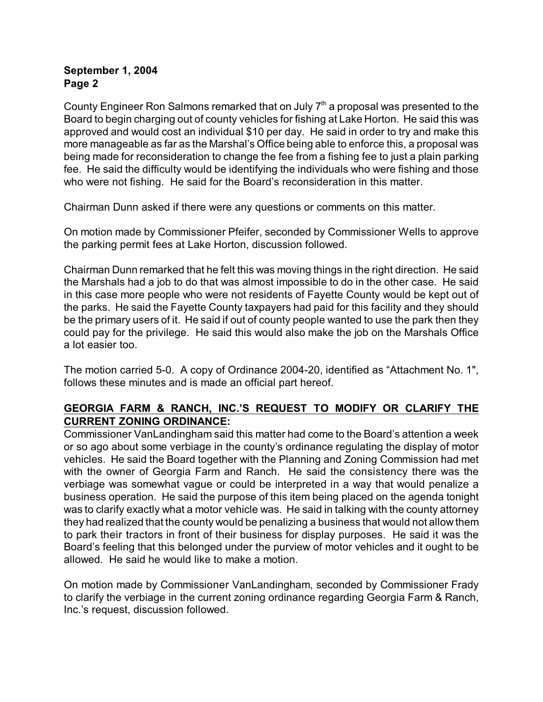County Engineer Ron Salmons remarked that on July  $7<sup>th</sup>$  a proposal was presented to the Board to begin charging out of county vehicles for fishing at Lake Horton. He said this was approved and would cost an individual \$10 per day. He said in order to try and make this more manageable as far as the Marshal's Office being able to enforce this, a proposal was being made for reconsideration to change the fee from a fishing fee to just a plain parking fee. He said the difficulty would be identifying the individuals who were fishing and those who were not fishing. He said for the Board's reconsideration in this matter.

Chairman Dunn asked if there were any questions or comments on this matter.

On motion made by Commissioner Pfeifer, seconded by Commissioner Wells to approve the parking permit fees at Lake Horton, discussion followed.

Chairman Dunn remarked that he felt this was moving things in the right direction. He said the Marshals had a job to do that was almost impossible to do in the other case. He said in this case more people who were not residents of Fayette County would be kept out of the parks. He said the Fayette County taxpayers had paid for this facility and they should be the primary users of it. He said if out of county people wanted to use the park then they could pay for the privilege. He said this would also make the job on the Marshals Office a lot easier too.

The motion carried 5-0. A copy of Ordinance 2004-20, identified as "Attachment No. 1", follows these minutes and is made an official part hereof.

# **GEORGIA FARM & RANCH, INC.'S REQUEST TO MODIFY OR CLARIFY THE CURRENT ZONING ORDINANCE:**

Commissioner VanLandingham said this matter had come to the Board's attention a week or so ago about some verbiage in the county's ordinance regulating the display of motor vehicles. He said the Board together with the Planning and Zoning Commission had met with the owner of Georgia Farm and Ranch. He said the consistency there was the verbiage was somewhat vague or could be interpreted in a way that would penalize a business operation. He said the purpose of this item being placed on the agenda tonight was to clarify exactly what a motor vehicle was. He said in talking with the county attorney they had realized that the county would be penalizing a business that would not allow them to park their tractors in front of their business for display purposes. He said it was the Board's feeling that this belonged under the purview of motor vehicles and it ought to be allowed. He said he would like to make a motion.

On motion made by Commissioner VanLandingham, seconded by Commissioner Frady to clarify the verbiage in the current zoning ordinance regarding Georgia Farm & Ranch, Inc.'s request, discussion followed.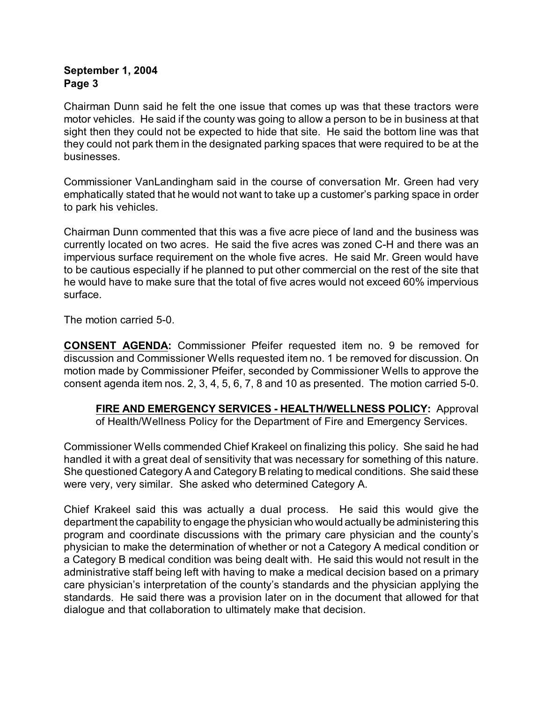Chairman Dunn said he felt the one issue that comes up was that these tractors were motor vehicles. He said if the county was going to allow a person to be in business at that sight then they could not be expected to hide that site. He said the bottom line was that they could not park them in the designated parking spaces that were required to be at the businesses.

Commissioner VanLandingham said in the course of conversation Mr. Green had very emphatically stated that he would not want to take up a customer's parking space in order to park his vehicles.

Chairman Dunn commented that this was a five acre piece of land and the business was currently located on two acres. He said the five acres was zoned C-H and there was an impervious surface requirement on the whole five acres. He said Mr. Green would have to be cautious especially if he planned to put other commercial on the rest of the site that he would have to make sure that the total of five acres would not exceed 60% impervious surface.

The motion carried 5-0.

**CONSENT AGENDA:** Commissioner Pfeifer requested item no. 9 be removed for discussion and Commissioner Wells requested item no. 1 be removed for discussion. On motion made by Commissioner Pfeifer, seconded by Commissioner Wells to approve the consent agenda item nos. 2, 3, 4, 5, 6, 7, 8 and 10 as presented. The motion carried 5-0.

**FIRE AND EMERGENCY SERVICES - HEALTH/WELLNESS POLICY:** Approval of Health/Wellness Policy for the Department of Fire and Emergency Services.

Commissioner Wells commended Chief Krakeel on finalizing this policy. She said he had handled it with a great deal of sensitivity that was necessary for something of this nature. She questioned Category A and Category B relating to medical conditions. She said these were very, very similar. She asked who determined Category A.

Chief Krakeel said this was actually a dual process. He said this would give the department the capability to engage the physician who would actually be administering this program and coordinate discussions with the primary care physician and the county's physician to make the determination of whether or not a Category A medical condition or a Category B medical condition was being dealt with. He said this would not result in the administrative staff being left with having to make a medical decision based on a primary care physician's interpretation of the county's standards and the physician applying the standards. He said there was a provision later on in the document that allowed for that dialogue and that collaboration to ultimately make that decision.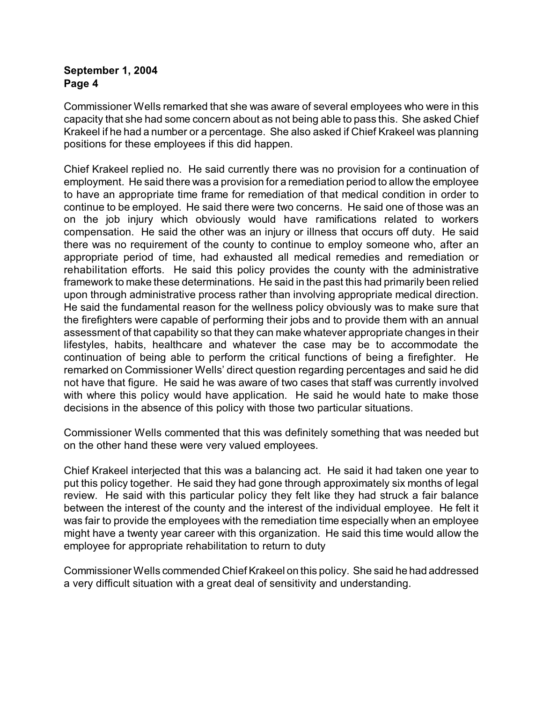Commissioner Wells remarked that she was aware of several employees who were in this capacity that she had some concern about as not being able to pass this. She asked Chief Krakeel if he had a number or a percentage. She also asked if Chief Krakeel was planning positions for these employees if this did happen.

Chief Krakeel replied no. He said currently there was no provision for a continuation of employment. He said there was a provision for a remediation period to allow the employee to have an appropriate time frame for remediation of that medical condition in order to continue to be employed. He said there were two concerns. He said one of those was an on the job injury which obviously would have ramifications related to workers compensation. He said the other was an injury or illness that occurs off duty. He said there was no requirement of the county to continue to employ someone who, after an appropriate period of time, had exhausted all medical remedies and remediation or rehabilitation efforts. He said this policy provides the county with the administrative framework to make these determinations. He said in the past this had primarily been relied upon through administrative process rather than involving appropriate medical direction. He said the fundamental reason for the wellness policy obviously was to make sure that the firefighters were capable of performing their jobs and to provide them with an annual assessment of that capability so that they can make whatever appropriate changes in their lifestyles, habits, healthcare and whatever the case may be to accommodate the continuation of being able to perform the critical functions of being a firefighter. He remarked on Commissioner Wells' direct question regarding percentages and said he did not have that figure. He said he was aware of two cases that staff was currently involved with where this policy would have application. He said he would hate to make those decisions in the absence of this policy with those two particular situations.

Commissioner Wells commented that this was definitely something that was needed but on the other hand these were very valued employees.

Chief Krakeel interjected that this was a balancing act. He said it had taken one year to put this policy together. He said they had gone through approximately six months of legal review. He said with this particular policy they felt like they had struck a fair balance between the interest of the county and the interest of the individual employee. He felt it was fair to provide the employees with the remediation time especially when an employee might have a twenty year career with this organization. He said this time would allow the employee for appropriate rehabilitation to return to duty

Commissioner Wells commended Chief Krakeel on this policy. She said he had addressed a very difficult situation with a great deal of sensitivity and understanding.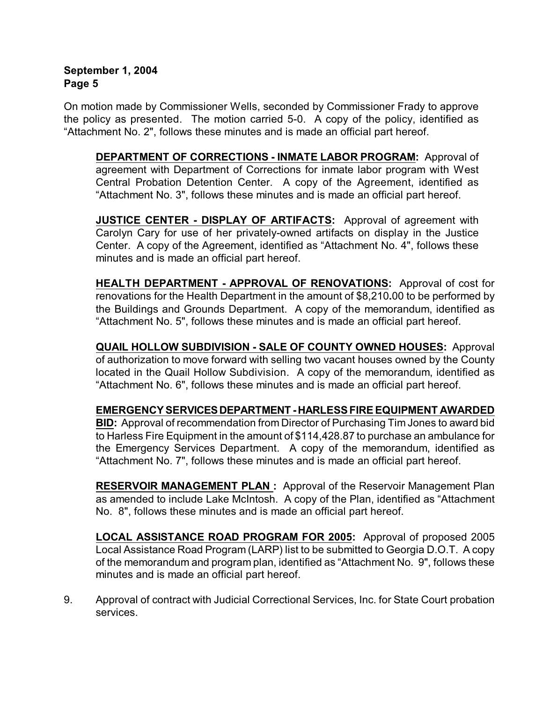On motion made by Commissioner Wells, seconded by Commissioner Frady to approve the policy as presented. The motion carried 5-0. A copy of the policy, identified as "Attachment No. 2", follows these minutes and is made an official part hereof.

**DEPARTMENT OF CORRECTIONS - INMATE LABOR PROGRAM:** Approval of agreement with Department of Corrections for inmate labor program with West Central Probation Detention Center. A copy of the Agreement, identified as "Attachment No. 3", follows these minutes and is made an official part hereof.

**JUSTICE CENTER - DISPLAY OF ARTIFACTS:** Approval of agreement with Carolyn Cary for use of her privately-owned artifacts on display in the Justice Center. A copy of the Agreement, identified as "Attachment No. 4", follows these minutes and is made an official part hereof.

**HEALTH DEPARTMENT - APPROVAL OF RENOVATIONS:** Approval of cost for renovations for the Health Department in the amount of \$8,210**.**00 to be performed by the Buildings and Grounds Department. A copy of the memorandum, identified as "Attachment No. 5", follows these minutes and is made an official part hereof.

**QUAIL HOLLOW SUBDIVISION - SALE OF COUNTY OWNED HOUSES:** Approval of authorization to move forward with selling two vacant houses owned by the County located in the Quail Hollow Subdivision. A copy of the memorandum, identified as "Attachment No. 6", follows these minutes and is made an official part hereof.

# **EMERGENCY SERVICES DEPARTMENT - HARLESS FIRE EQUIPMENT AWARDED**

**BID:** Approval of recommendation from Director of Purchasing Tim Jones to award bid to Harless Fire Equipment in the amount of \$114,428.87 to purchase an ambulance for the Emergency Services Department. A copy of the memorandum, identified as "Attachment No. 7", follows these minutes and is made an official part hereof.

**RESERVOIR MANAGEMENT PLAN :** Approval of the Reservoir Management Plan as amended to include Lake McIntosh. A copy of the Plan, identified as "Attachment No. 8", follows these minutes and is made an official part hereof.

**LOCAL ASSISTANCE ROAD PROGRAM FOR 2005:** Approval of proposed 2005 Local Assistance Road Program (LARP) list to be submitted to Georgia D.O.T. A copy of the memorandum and program plan, identified as "Attachment No. 9", follows these minutes and is made an official part hereof.

9. Approval of contract with Judicial Correctional Services, Inc. for State Court probation services.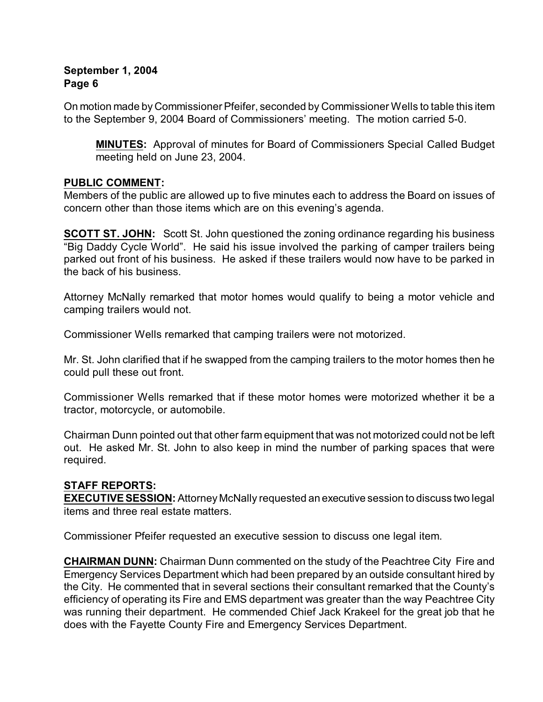On motion made by Commissioner Pfeifer, seconded by Commissioner Wells to table this item to the September 9, 2004 Board of Commissioners' meeting. The motion carried 5-0.

**MINUTES:** Approval of minutes for Board of Commissioners Special Called Budget meeting held on June 23, 2004.

# **PUBLIC COMMENT:**

Members of the public are allowed up to five minutes each to address the Board on issues of concern other than those items which are on this evening's agenda.

**SCOTT ST. JOHN:** Scott St. John questioned the zoning ordinance regarding his business "Big Daddy Cycle World". He said his issue involved the parking of camper trailers being parked out front of his business. He asked if these trailers would now have to be parked in the back of his business.

Attorney McNally remarked that motor homes would qualify to being a motor vehicle and camping trailers would not.

Commissioner Wells remarked that camping trailers were not motorized.

Mr. St. John clarified that if he swapped from the camping trailers to the motor homes then he could pull these out front.

Commissioner Wells remarked that if these motor homes were motorized whether it be a tractor, motorcycle, or automobile.

Chairman Dunn pointed out that other farm equipment that was not motorized could not be left out. He asked Mr. St. John to also keep in mind the number of parking spaces that were required.

# **STAFF REPORTS:**

**EXECUTIVE SESSION:** Attorney McNally requested an executive session to discuss two legal items and three real estate matters.

Commissioner Pfeifer requested an executive session to discuss one legal item.

**CHAIRMAN DUNN:** Chairman Dunn commented on the study of the Peachtree City Fire and Emergency Services Department which had been prepared by an outside consultant hired by the City. He commented that in several sections their consultant remarked that the County's efficiency of operating its Fire and EMS department was greater than the way Peachtree City was running their department. He commended Chief Jack Krakeel for the great job that he does with the Fayette County Fire and Emergency Services Department.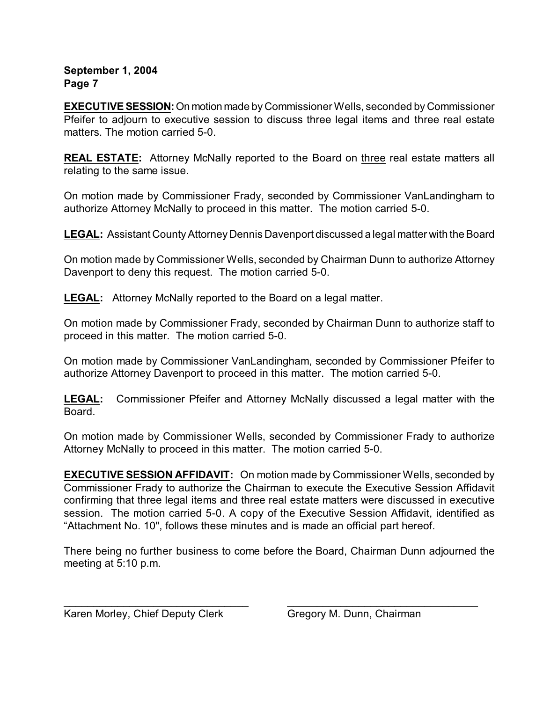**EXECUTIVE SESSION:** On motion made by Commissioner Wells, seconded by Commissioner Pfeifer to adjourn to executive session to discuss three legal items and three real estate matters. The motion carried 5-0.

**REAL ESTATE:** Attorney McNally reported to the Board on three real estate matters all relating to the same issue.

On motion made by Commissioner Frady, seconded by Commissioner VanLandingham to authorize Attorney McNally to proceed in this matter. The motion carried 5-0.

**LEGAL:** Assistant County Attorney Dennis Davenport discussed a legal matter with the Board

On motion made by Commissioner Wells, seconded by Chairman Dunn to authorize Attorney Davenport to deny this request. The motion carried 5-0.

**LEGAL:** Attorney McNally reported to the Board on a legal matter.

On motion made by Commissioner Frady, seconded by Chairman Dunn to authorize staff to proceed in this matter. The motion carried 5-0.

On motion made by Commissioner VanLandingham, seconded by Commissioner Pfeifer to authorize Attorney Davenport to proceed in this matter. The motion carried 5-0.

**LEGAL:** Commissioner Pfeifer and Attorney McNally discussed a legal matter with the Board.

On motion made by Commissioner Wells, seconded by Commissioner Frady to authorize Attorney McNally to proceed in this matter. The motion carried 5-0.

**EXECUTIVE SESSION AFFIDAVIT:** On motion made by Commissioner Wells, seconded by Commissioner Frady to authorize the Chairman to execute the Executive Session Affidavit confirming that three legal items and three real estate matters were discussed in executive session. The motion carried 5-0. A copy of the Executive Session Affidavit, identified as "Attachment No. 10", follows these minutes and is made an official part hereof.

There being no further business to come before the Board, Chairman Dunn adjourned the meeting at 5:10 p.m.

 $\_$